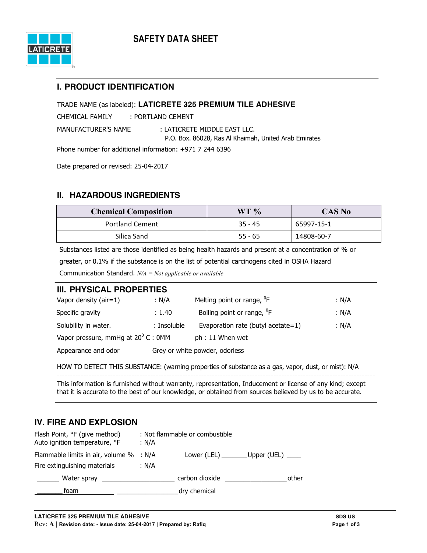

### **I. PRODUCT IDENTIFICATION**

TRADE NAME (as labeled): **LATICRETE 325 PREMIUM TILE ADHESIVE**

CHEMICAL FAMILY : PORTLAND CEMENT

MANUFACTURER'S NAME : LATICRETE MIDDLE EAST LLC.

P.O. Box. 86028, Ras Al Khaimah, United Arab Emirates

Phone number for additional information: +971 7 244 6396

Date prepared or revised: 25-04-2017

# **II. HAZARDOUS INGREDIENTS**

| <b>Chemical Composition</b> | WT %      | <b>CAS No</b> |
|-----------------------------|-----------|---------------|
| <b>Portland Cement</b>      | $35 - 45$ | 65997-15-1    |
| Silica Sand                 | $55 - 65$ | 14808-60-7    |

Substances listed are those identified as being health hazards and present at a concentration of % or greater, or 0.1% if the substance is on the list of potential carcinogens cited in OSHA Hazard Communication Standard. *N/A = Not applicable or available*

### **III. PHYSICAL PROPERTIES**

| Vapor density $(air=1)$                      | : N/A       | Melting point or range, <sup>0</sup> F | : N/A |
|----------------------------------------------|-------------|----------------------------------------|-------|
| Specific gravity                             | : 1.40      | Boiling point or range, <sup>o</sup> F | : N/A |
| Solubility in water.                         | : Insoluble | Evaporation rate (butyl acetate=1)     | : N/A |
| Vapor pressure, mmHg at $20^{\circ}$ C : 0MM |             | ph: 11 When wet                        |       |
| Appearance and odor                          |             | Grey or white powder, odorless         |       |

HOW TO DETECT THIS SUBSTANCE: (warning properties of substance as a gas, vapor, dust, or mist): N/A

This information is furnished without warranty, representation, Inducement or license of any kind; except that it is accurate to the best of our knowledge, or obtained from sources believed by us to be accurate.

# **IV. FIRE AND EXPLOSION**

| Flash Point, °F (give method)<br>Auto ignition temperature, °F | : N/A | : Not flammable or combustible          |       |
|----------------------------------------------------------------|-------|-----------------------------------------|-------|
| Flammable limits in air, volume % : N/A                        |       | Lower (LEL) _________ Upper (UEL) _____ |       |
| Fire extinguishing materials                                   | : N/A |                                         |       |
|                                                                |       | carbon dioxide and the carbon dioxide   | other |
| foam                                                           |       | dry chemical                            |       |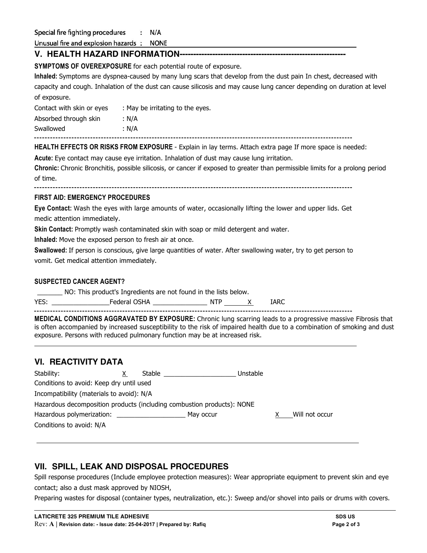Special fire fighting procedures  $: N/A$ 

Unusual fire and explosion hazards: NONE

### **V. HEALTH HAZARD INFORMATION-------------------------------------------------------------**

**SYMPTOMS OF OVEREXPOSURE** for each potential route of exposure.

**Inhaled:** Symptoms are dyspnea-caused by many lung scars that develop from the dust pain In chest, decreased with capacity and cough. Inhalation of the dust can cause silicosis and may cause lung cancer depending on duration at level of exposure.

| Contact with skin or eyes | : May be irritating to the eyes. |
|---------------------------|----------------------------------|
| Absorbed through skin     | : N/A                            |
| Swallowed                 | : N/A                            |

**HEALTH EFFECTS OR RISKS FROM EXPOSURE** - Explain in lay terms. Attach extra page If more space is needed:

**Acute:** Eye contact may cause eye irritation. Inhalation of dust may cause lung irritation.

**Chronic:** Chronic Bronchitis, possible silicosis, or cancer if exposed to greater than permissible limits for a prolong period of time.

#### **FIRST AID: EMERGENCY PROCEDURES**

**Eye Contact:** Wash the eyes with large amounts of water, occasionally lifting the lower and upper lids. Get medic attention immediately.

**Skin Contact:** Promptly wash contaminated skin with soap or mild detergent and water.

**Inhaled:** Move the exposed person to fresh air at once.

**Swallowed:** If person is conscious, give large quantities of water. After swallowing water, try to get person to vomit. Get medical attention immediately.

#### **SUSPECTED CANCER AGENT?**

\_\_\_\_\_\_\_ NO: This product's Ingredients are not found in the lists below.

YES: \_\_\_\_\_\_\_\_\_\_\_\_\_\_\_\_Federal OSHA \_\_\_\_\_\_\_\_\_\_\_\_\_\_\_ NTP X IARC

**MEDICAL CONDITIONS AGGRAVATED BY EXPOSURE:** Chronic lung scarring leads to a progressive massive Fibrosis that is often accompanied by increased susceptibility to the risk of impaired health due to a combination of smoking and dust exposure. Persons with reduced pulmonary function may be at increased risk.

# **VI. REACTIVITY DATA**

| Stability:                                                             | X. | Stable |           | Unstable |  |                |
|------------------------------------------------------------------------|----|--------|-----------|----------|--|----------------|
| Conditions to avoid: Keep dry until used                               |    |        |           |          |  |                |
| Incompatibility (materials to avoid): N/A                              |    |        |           |          |  |                |
| Hazardous decomposition products (including combustion products): NONE |    |        |           |          |  |                |
| Hazardous polymerization:                                              |    |        | May occur |          |  | Will not occur |
| Conditions to avoid: N/A                                               |    |        |           |          |  |                |

# **VII. SPILL, LEAK AND DISPOSAL PROCEDURES**

Spill response procedures (Include employee protection measures): Wear appropriate equipment to prevent skin and eye contact; also a dust mask approved by NIOSH,

Preparing wastes for disposal (container types, neutralization, etc.): Sweep and/or shovel into pails or drums with covers.